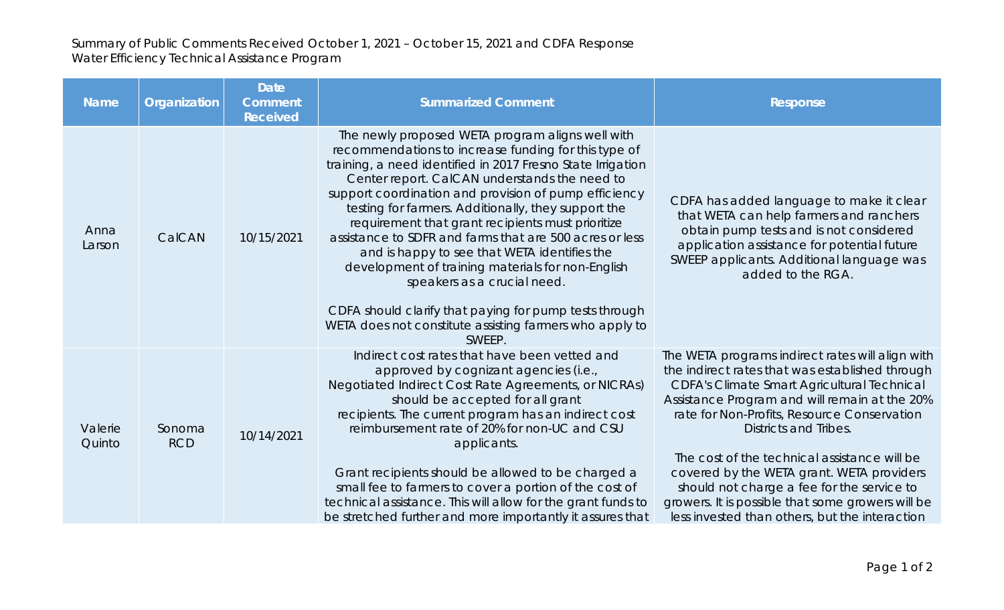## Summary of Public Comments Received October 1, 2021 – October 15, 2021 and CDFA Response Water Efficiency Technical Assistance Program

| <b>Name</b>       | Organization         | <b>Date</b><br><b>Comment</b><br><b>Received</b> | <b>Summarized Comment</b>                                                                                                                                                                                                                                                                                                                                                                                                                                                                                                                                                                                                                                                                                                   | <b>Response</b>                                                                                                                                                                                                                                                                                                                                                                                                                                                                                                                             |
|-------------------|----------------------|--------------------------------------------------|-----------------------------------------------------------------------------------------------------------------------------------------------------------------------------------------------------------------------------------------------------------------------------------------------------------------------------------------------------------------------------------------------------------------------------------------------------------------------------------------------------------------------------------------------------------------------------------------------------------------------------------------------------------------------------------------------------------------------------|---------------------------------------------------------------------------------------------------------------------------------------------------------------------------------------------------------------------------------------------------------------------------------------------------------------------------------------------------------------------------------------------------------------------------------------------------------------------------------------------------------------------------------------------|
| Anna<br>Larson    | CalCAN               | 10/15/2021                                       | The newly proposed WETA program aligns well with<br>recommendations to increase funding for this type of<br>training, a need identified in 2017 Fresno State Irrigation<br>Center report. CalCAN understands the need to<br>support coordination and provision of pump efficiency<br>testing for farmers. Additionally, they support the<br>requirement that grant recipients must prioritize<br>assistance to SDFR and farms that are 500 acres or less<br>and is happy to see that WETA identifies the<br>development of training materials for non-English<br>speakers as a crucial need.<br>CDFA should clarify that paying for pump tests through<br>WETA does not constitute assisting farmers who apply to<br>SWEEP. | CDFA has added language to make it clear<br>that WETA can help farmers and ranchers<br>obtain pump tests and is not considered<br>application assistance for potential future<br>SWEEP applicants. Additional language was<br>added to the RGA.                                                                                                                                                                                                                                                                                             |
| Valerie<br>Quinto | Sonoma<br><b>RCD</b> | 10/14/2021                                       | Indirect cost rates that have been vetted and<br>approved by cognizant agencies (i.e.,<br>Negotiated Indirect Cost Rate Agreements, or NICRAs)<br>should be accepted for all grant<br>recipients. The current program has an indirect cost<br>reimbursement rate of 20% for non-UC and CSU<br>applicants.<br>Grant recipients should be allowed to be charged a<br>small fee to farmers to cover a portion of the cost of<br>technical assistance. This will allow for the grant funds to<br>be stretched further and more importantly it assures that                                                                                                                                                                      | The WETA programs indirect rates will align with<br>the indirect rates that was established through<br><b>CDFA's Climate Smart Agricultural Technical</b><br>Assistance Program and will remain at the 20%<br>rate for Non-Profits, Resource Conservation<br><b>Districts and Tribes.</b><br>The cost of the technical assistance will be<br>covered by the WETA grant. WETA providers<br>should not charge a fee for the service to<br>growers. It is possible that some growers will be<br>less invested than others, but the interaction |